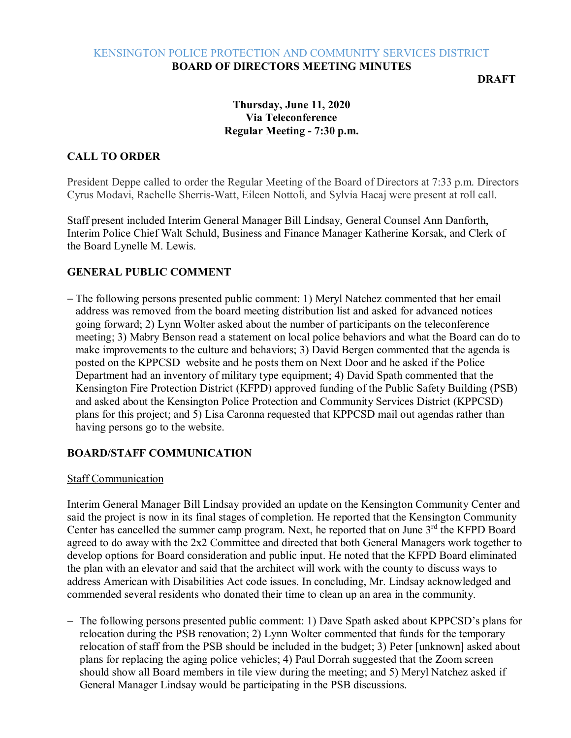### KENSINGTON POLICE PROTECTION AND COMMUNITY SERVICES DISTRICT **BOARD OF DIRECTORS MEETING MINUTES**

**DRAFT**

# **Thursday, June 11, 2020 Via Teleconference Regular Meeting - 7:30 p.m.**

# **CALL TO ORDER**

President Deppe called to order the Regular Meeting of the Board of Directors at 7:33 p.m. Directors Cyrus Modavi, Rachelle Sherris-Watt, Eileen Nottoli, and Sylvia Hacaj were present at roll call.

Staff present included Interim General Manager Bill Lindsay, General Counsel Ann Danforth, Interim Police Chief Walt Schuld, Business and Finance Manager Katherine Korsak, and Clerk of the Board Lynelle M. Lewis.

## **GENERAL PUBLIC COMMENT**

− The following persons presented public comment: 1) Meryl Natchez commented that her email address was removed from the board meeting distribution list and asked for advanced notices going forward; 2) Lynn Wolter asked about the number of participants on the teleconference meeting; 3) Mabry Benson read a statement on local police behaviors and what the Board can do to make improvements to the culture and behaviors; 3) David Bergen commented that the agenda is posted on the KPPCSD website and he posts them on Next Door and he asked if the Police Department had an inventory of military type equipment; 4) David Spath commented that the Kensington Fire Protection District (KFPD) approved funding of the Public Safety Building (PSB) and asked about the Kensington Police Protection and Community Services District (KPPCSD) plans for this project; and 5) Lisa Caronna requested that KPPCSD mail out agendas rather than having persons go to the website.

## **BOARD/STAFF COMMUNICATION**

#### Staff Communication

Interim General Manager Bill Lindsay provided an update on the Kensington Community Center and said the project is now in its final stages of completion. He reported that the Kensington Community Center has cancelled the summer camp program. Next, he reported that on June 3<sup>rd</sup> the KFPD Board agreed to do away with the 2x2 Committee and directed that both General Managers work together to develop options for Board consideration and public input. He noted that the KFPD Board eliminated the plan with an elevator and said that the architect will work with the county to discuss ways to address American with Disabilities Act code issues. In concluding, Mr. Lindsay acknowledged and commended several residents who donated their time to clean up an area in the community.

− The following persons presented public comment: 1) Dave Spath asked about KPPCSD's plans for relocation during the PSB renovation; 2) Lynn Wolter commented that funds for the temporary relocation of staff from the PSB should be included in the budget; 3) Peter [unknown] asked about plans for replacing the aging police vehicles; 4) Paul Dorrah suggested that the Zoom screen should show all Board members in tile view during the meeting; and 5) Meryl Natchez asked if General Manager Lindsay would be participating in the PSB discussions.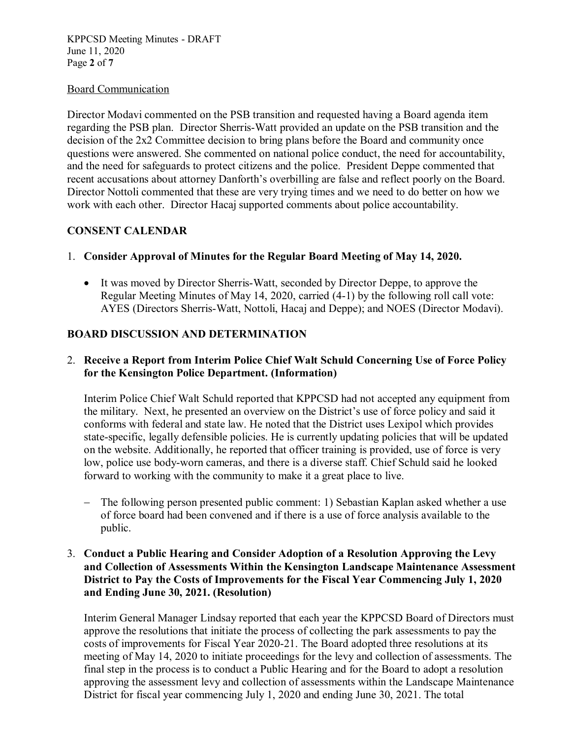#### Board Communication

Director Modavi commented on the PSB transition and requested having a Board agenda item regarding the PSB plan. Director Sherris-Watt provided an update on the PSB transition and the decision of the 2x2 Committee decision to bring plans before the Board and community once questions were answered. She commented on national police conduct, the need for accountability, and the need for safeguards to protect citizens and the police. President Deppe commented that recent accusations about attorney Danforth's overbilling are false and reflect poorly on the Board. Director Nottoli commented that these are very trying times and we need to do better on how we work with each other. Director Hacaj supported comments about police accountability.

## **CONSENT CALENDAR**

### 1. **Consider Approval of Minutes for the Regular Board Meeting of May 14, 2020.**

• It was moved by Director Sherris-Watt, seconded by Director Deppe, to approve the Regular Meeting Minutes of May 14, 2020, carried (4-1) by the following roll call vote: AYES (Directors Sherris-Watt, Nottoli, Hacaj and Deppe); and NOES (Director Modavi).

### **BOARD DISCUSSION AND DETERMINATION**

## 2. **Receive a Report from Interim Police Chief Walt Schuld Concerning Use of Force Policy for the Kensington Police Department. (Information)**

Interim Police Chief Walt Schuld reported that KPPCSD had not accepted any equipment from the military. Next, he presented an overview on the District's use of force policy and said it conforms with federal and state law. He noted that the District uses Lexipol which provides state-specific, legally defensible policies. He is currently updating policies that will be updated on the website. Additionally, he reported that officer training is provided, use of force is very low, police use body-worn cameras, and there is a diverse staff. Chief Schuld said he looked forward to working with the community to make it a great place to live.

− The following person presented public comment: 1) Sebastian Kaplan asked whether a use of force board had been convened and if there is a use of force analysis available to the public.

## 3. **Conduct a Public Hearing and Consider Adoption of a Resolution Approving the Levy and Collection of Assessments Within the Kensington Landscape Maintenance Assessment District to Pay the Costs of Improvements for the Fiscal Year Commencing July 1, 2020 and Ending June 30, 2021. (Resolution)**

Interim General Manager Lindsay reported that each year the KPPCSD Board of Directors must approve the resolutions that initiate the process of collecting the park assessments to pay the costs of improvements for Fiscal Year 2020-21. The Board adopted three resolutions at its meeting of May 14, 2020 to initiate proceedings for the levy and collection of assessments. The final step in the process is to conduct a Public Hearing and for the Board to adopt a resolution approving the assessment levy and collection of assessments within the Landscape Maintenance District for fiscal year commencing July 1, 2020 and ending June 30, 2021. The total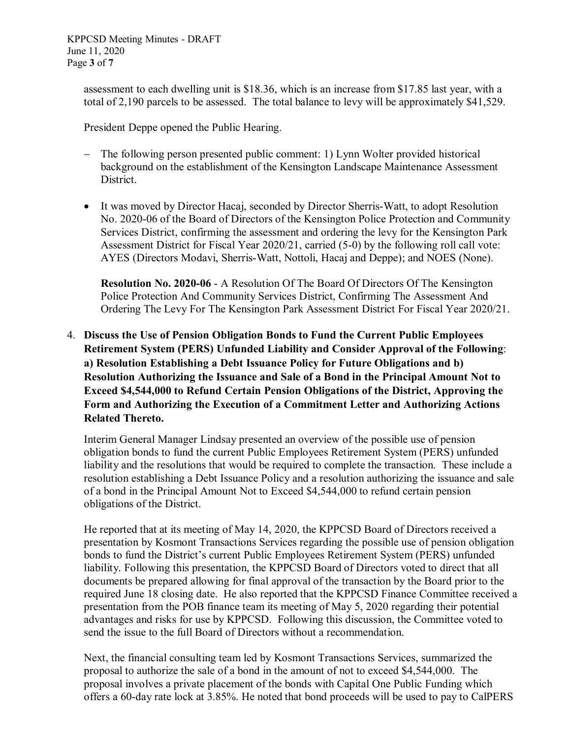assessment to each dwelling unit is \$18.36, which is an increase from \$17.85 last year, with a total of 2,190 parcels to be assessed. The total balance to levy will be approximately \$41,529.

President Deppe opened the Public Hearing.

- − The following person presented public comment: 1) Lynn Wolter provided historical background on the establishment of the Kensington Landscape Maintenance Assessment District.
- It was moved by Director Hacaj, seconded by Director Sherris-Watt, to adopt Resolution No. 2020-06 of the Board of Directors of the Kensington Police Protection and Community Services District, confirming the assessment and ordering the levy for the Kensington Park Assessment District for Fiscal Year 2020/21, carried (5-0) by the following roll call vote: AYES (Directors Modavi, Sherris-Watt, Nottoli, Hacaj and Deppe); and NOES (None).

**Resolution No. 2020-06** - A Resolution Of The Board Of Directors Of The Kensington Police Protection And Community Services District, Confirming The Assessment And Ordering The Levy For The Kensington Park Assessment District For Fiscal Year 2020/21.

4. **Discuss the Use of Pension Obligation Bonds to Fund the Current Public Employees Retirement System (PERS) Unfunded Liability and Consider Approval of the Following**: **a) Resolution Establishing a Debt Issuance Policy for Future Obligations and b) Resolution Authorizing the Issuance and Sale of a Bond in the Principal Amount Not to Exceed \$4,544,000 to Refund Certain Pension Obligations of the District, Approving the Form and Authorizing the Execution of a Commitment Letter and Authorizing Actions Related Thereto.**

Interim General Manager Lindsay presented an overview of the possible use of pension obligation bonds to fund the current Public Employees Retirement System (PERS) unfunded liability and the resolutions that would be required to complete the transaction. These include a resolution establishing a Debt Issuance Policy and a resolution authorizing the issuance and sale of a bond in the Principal Amount Not to Exceed \$4,544,000 to refund certain pension obligations of the District.

He reported that at its meeting of May 14, 2020, the KPPCSD Board of Directors received a presentation by Kosmont Transactions Services regarding the possible use of pension obligation bonds to fund the District's current Public Employees Retirement System (PERS) unfunded liability. Following this presentation, the KPPCSD Board of Directors voted to direct that all documents be prepared allowing for final approval of the transaction by the Board prior to the required June 18 closing date. He also reported that the KPPCSD Finance Committee received a presentation from the POB finance team its meeting of May 5, 2020 regarding their potential advantages and risks for use by KPPCSD. Following this discussion, the Committee voted to send the issue to the full Board of Directors without a recommendation.

Next, the financial consulting team led by Kosmont Transactions Services, summarized the proposal to authorize the sale of a bond in the amount of not to exceed \$4,544,000. The proposal involves a private placement of the bonds with Capital One Public Funding which offers a 60-day rate lock at 3.85%. He noted that bond proceeds will be used to pay to CalPERS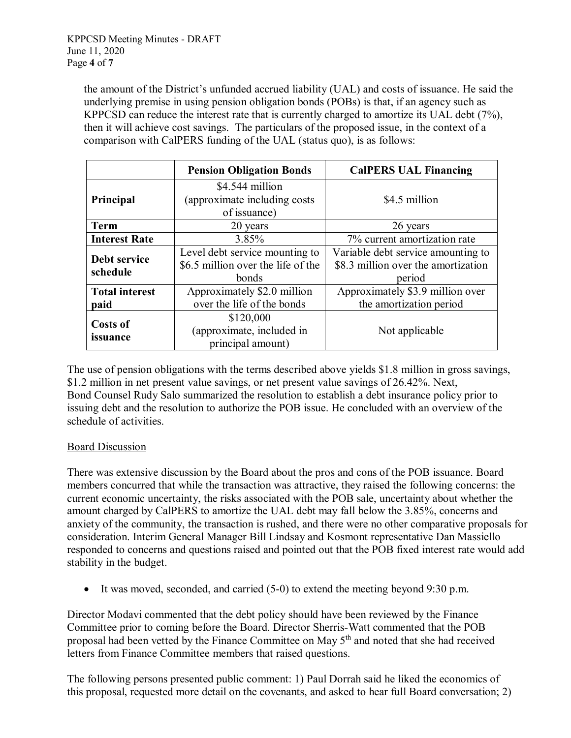the amount of the District's unfunded accrued liability (UAL) and costs of issuance. He said the underlying premise in using pension obligation bonds (POBs) is that, if an agency such as KPPCSD can reduce the interest rate that is currently charged to amortize its UAL debt (7%), then it will achieve cost savings. The particulars of the proposed issue, in the context of a comparison with CalPERS funding of the UAL (status quo), is as follows:

|                               | <b>Pension Obligation Bonds</b>                                               | <b>CalPERS UAL Financing</b>                                                        |
|-------------------------------|-------------------------------------------------------------------------------|-------------------------------------------------------------------------------------|
| Principal                     | \$4.544 million<br>(approximate including costs<br>of issuance)               | \$4.5 million                                                                       |
| <b>Term</b>                   | 20 years                                                                      | 26 years                                                                            |
| <b>Interest Rate</b>          | 3.85%                                                                         | 7% current amortization rate                                                        |
| Debt service<br>schedule      | Level debt service mounting to<br>\$6.5 million over the life of the<br>bonds | Variable debt service amounting to<br>\$8.3 million over the amortization<br>period |
| <b>Total interest</b><br>paid | Approximately \$2.0 million<br>over the life of the bonds                     | Approximately \$3.9 million over<br>the amortization period                         |
| <b>Costs of</b><br>issuance   | \$120,000<br>(approximate, included in<br>principal amount)                   | Not applicable                                                                      |

The use of pension obligations with the terms described above yields \$1.8 million in gross savings, \$1.2 million in net present value savings, or net present value savings of 26.42%. Next, Bond Counsel Rudy Salo summarized the resolution to establish a debt insurance policy prior to issuing debt and the resolution to authorize the POB issue. He concluded with an overview of the schedule of activities.

## Board Discussion

There was extensive discussion by the Board about the pros and cons of the POB issuance. Board members concurred that while the transaction was attractive, they raised the following concerns: the current economic uncertainty, the risks associated with the POB sale, uncertainty about whether the amount charged by CalPERS to amortize the UAL debt may fall below the 3.85%, concerns and anxiety of the community, the transaction is rushed, and there were no other comparative proposals for consideration. Interim General Manager Bill Lindsay and Kosmont representative Dan Massiello responded to concerns and questions raised and pointed out that the POB fixed interest rate would add stability in the budget.

• It was moved, seconded, and carried (5-0) to extend the meeting beyond 9:30 p.m.

Director Modavi commented that the debt policy should have been reviewed by the Finance Committee prior to coming before the Board. Director Sherris-Watt commented that the POB proposal had been vetted by the Finance Committee on May 5<sup>th</sup> and noted that she had received letters from Finance Committee members that raised questions.

The following persons presented public comment: 1) Paul Dorrah said he liked the economics of this proposal, requested more detail on the covenants, and asked to hear full Board conversation; 2)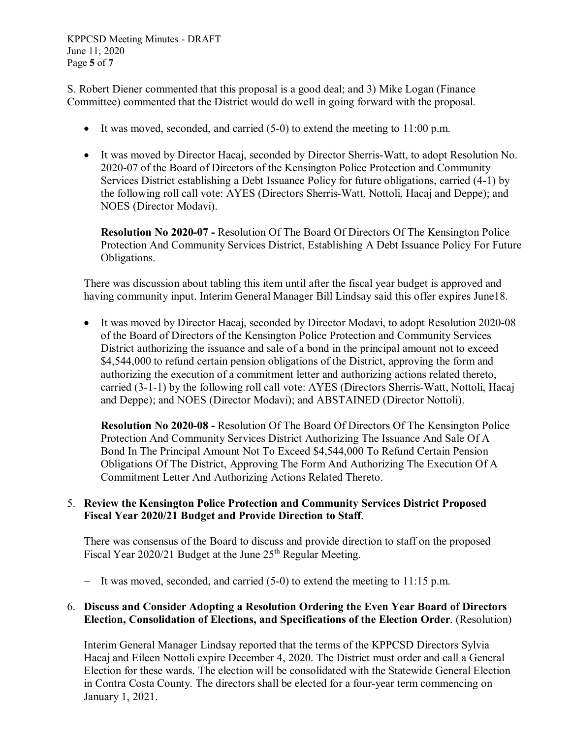KPPCSD Meeting Minutes - DRAFT June 11, 2020 Page **5** of **7**

S. Robert Diener commented that this proposal is a good deal; and 3) Mike Logan (Finance Committee) commented that the District would do well in going forward with the proposal.

- It was moved, seconded, and carried  $(5-0)$  to extend the meeting to 11:00 p.m.
- It was moved by Director Hacaj, seconded by Director Sherris-Watt, to adopt Resolution No. 2020-07 of the Board of Directors of the Kensington Police Protection and Community Services District establishing a Debt Issuance Policy for future obligations, carried (4-1) by the following roll call vote: AYES (Directors Sherris-Watt, Nottoli, Hacaj and Deppe); and NOES (Director Modavi).

**Resolution No 2020-07 -** Resolution Of The Board Of Directors Of The Kensington Police Protection And Community Services District, Establishing A Debt Issuance Policy For Future Obligations.

There was discussion about tabling this item until after the fiscal year budget is approved and having community input. Interim General Manager Bill Lindsay said this offer expires June18.

• It was moved by Director Hacaj, seconded by Director Modavi, to adopt Resolution 2020-08 of the Board of Directors of the Kensington Police Protection and Community Services District authorizing the issuance and sale of a bond in the principal amount not to exceed \$4,544,000 to refund certain pension obligations of the District, approving the form and authorizing the execution of a commitment letter and authorizing actions related thereto, carried (3-1-1) by the following roll call vote: AYES (Directors Sherris-Watt, Nottoli, Hacaj and Deppe); and NOES (Director Modavi); and ABSTAINED (Director Nottoli).

**Resolution No 2020-08 -** Resolution Of The Board Of Directors Of The Kensington Police Protection And Community Services District Authorizing The Issuance And Sale Of A Bond In The Principal Amount Not To Exceed \$4,544,000 To Refund Certain Pension Obligations Of The District, Approving The Form And Authorizing The Execution Of A Commitment Letter And Authorizing Actions Related Thereto.

## 5. **Review the Kensington Police Protection and Community Services District Proposed Fiscal Year 2020/21 Budget and Provide Direction to Staff**.

There was consensus of the Board to discuss and provide direction to staff on the proposed Fiscal Year 2020/21 Budget at the June 25<sup>th</sup> Regular Meeting.

− It was moved, seconded, and carried (5-0) to extend the meeting to 11:15 p.m.

## 6. **Discuss and Consider Adopting a Resolution Ordering the Even Year Board of Directors Election, Consolidation of Elections, and Specifications of the Election Order**. (Resolution)

Interim General Manager Lindsay reported that the terms of the KPPCSD Directors Sylvia Hacaj and Eileen Nottoli expire December 4, 2020. The District must order and call a General Election for these wards. The election will be consolidated with the Statewide General Election in Contra Costa County. The directors shall be elected for a four-year term commencing on January 1, 2021.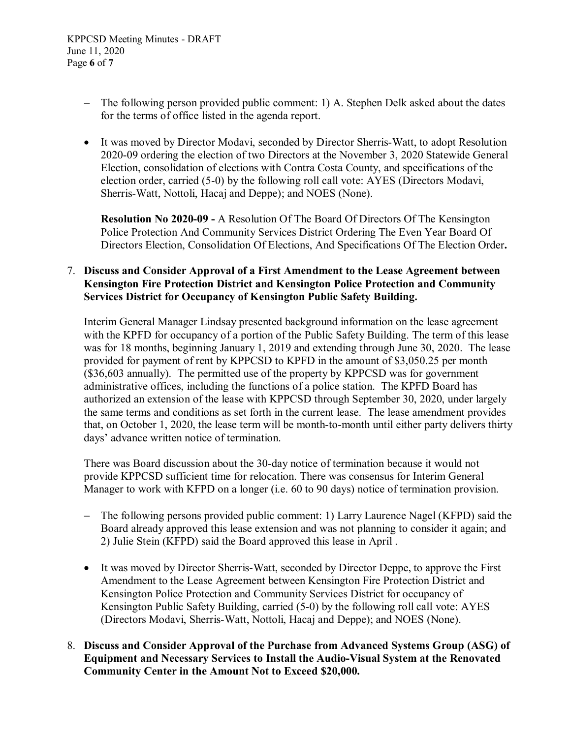- − The following person provided public comment: 1) A. Stephen Delk asked about the dates for the terms of office listed in the agenda report.
- It was moved by Director Modavi, seconded by Director Sherris-Watt, to adopt Resolution 2020-09 ordering the election of two Directors at the November 3, 2020 Statewide General Election, consolidation of elections with Contra Costa County, and specifications of the election order, carried (5-0) by the following roll call vote: AYES (Directors Modavi, Sherris-Watt, Nottoli, Hacaj and Deppe); and NOES (None).

**Resolution No 2020-09 -** A Resolution Of The Board Of Directors Of The Kensington Police Protection And Community Services District Ordering The Even Year Board Of Directors Election, Consolidation Of Elections, And Specifications Of The Election Order**.**

### 7. **Discuss and Consider Approval of a First Amendment to the Lease Agreement between Kensington Fire Protection District and Kensington Police Protection and Community Services District for Occupancy of Kensington Public Safety Building.**

Interim General Manager Lindsay presented background information on the lease agreement with the KPFD for occupancy of a portion of the Public Safety Building. The term of this lease was for 18 months, beginning January 1, 2019 and extending through June 30, 2020. The lease provided for payment of rent by KPPCSD to KPFD in the amount of \$3,050.25 per month (\$36,603 annually). The permitted use of the property by KPPCSD was for government administrative offices, including the functions of a police station. The KPFD Board has authorized an extension of the lease with KPPCSD through September 30, 2020, under largely the same terms and conditions as set forth in the current lease. The lease amendment provides that, on October 1, 2020, the lease term will be month-to-month until either party delivers thirty days' advance written notice of termination.

There was Board discussion about the 30-day notice of termination because it would not provide KPPCSD sufficient time for relocation. There was consensus for Interim General Manager to work with KFPD on a longer (i.e. 60 to 90 days) notice of termination provision.

- − The following persons provided public comment: 1) Larry Laurence Nagel (KFPD) said the Board already approved this lease extension and was not planning to consider it again; and 2) Julie Stein (KFPD) said the Board approved this lease in April .
- It was moved by Director Sherris-Watt, seconded by Director Deppe, to approve the First Amendment to the Lease Agreement between Kensington Fire Protection District and Kensington Police Protection and Community Services District for occupancy of Kensington Public Safety Building, carried (5-0) by the following roll call vote: AYES (Directors Modavi, Sherris-Watt, Nottoli, Hacaj and Deppe); and NOES (None).
- 8. **Discuss and Consider Approval of the Purchase from Advanced Systems Group (ASG) of Equipment and Necessary Services to Install the Audio-Visual System at the Renovated Community Center in the Amount Not to Exceed \$20,000.**